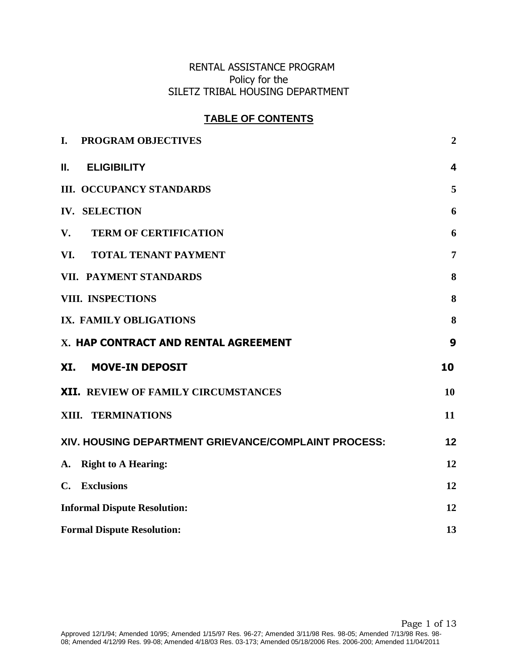#### RENTAL ASSISTANCE PROGRAM Policy for the SILETZ TRIBAL HOUSING DEPARTMENT

#### **TABLE OF CONTENTS**

| <b>PROGRAM OBJECTIVES</b><br>I.                      | $\overline{2}$          |
|------------------------------------------------------|-------------------------|
| <b>ELIGIBILITY</b><br>Н.                             | $\overline{\mathbf{4}}$ |
| <b>III. OCCUPANCY STANDARDS</b>                      | 5                       |
| <b>IV. SELECTION</b>                                 | 6                       |
| <b>TERM OF CERTIFICATION</b><br>V.                   | 6                       |
| VI.<br><b>TOTAL TENANT PAYMENT</b>                   | $\overline{7}$          |
| VII. PAYMENT STANDARDS                               | 8                       |
| <b>VIII. INSPECTIONS</b>                             | 8                       |
| IX. FAMILY OBLIGATIONS                               | 8                       |
| X. HAP CONTRACT AND RENTAL AGREEMENT                 | 9                       |
| XI.<br><b>MOVE-IN DEPOSIT</b>                        | 10                      |
| XII. REVIEW OF FAMILY CIRCUMSTANCES                  | 10                      |
| XIII. TERMINATIONS                                   | 11                      |
| XIV. HOUSING DEPARTMENT GRIEVANCE/COMPLAINT PROCESS: | 12                      |
| <b>Right to A Hearing:</b><br>A.                     | 12                      |
| C. Exclusions                                        | 12                      |
| <b>Informal Dispute Resolution:</b>                  | 12                      |
| <b>Formal Dispute Resolution:</b>                    | 13                      |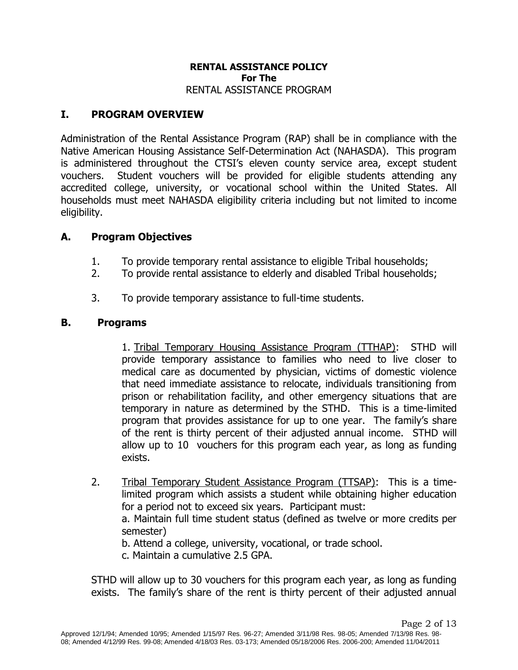#### **RENTAL ASSISTANCE POLICY For The** RENTAL ASSISTANCE PROGRAM

#### **I. PROGRAM OVERVIEW**

Administration of the Rental Assistance Program (RAP) shall be in compliance with the Native American Housing Assistance Self-Determination Act (NAHASDA). This program is administered throughout the CTSI's eleven county service area, except student vouchers. Student vouchers will be provided for eligible students attending any accredited college, university, or vocational school within the United States. All households must meet NAHASDA eligibility criteria including but not limited to income eligibility.

#### **A. Program Objectives**

- <span id="page-1-0"></span>1. To provide temporary rental assistance to eligible Tribal households;
- 2. To provide rental assistance to elderly and disabled Tribal households;
- 3. To provide temporary assistance to full-time students.

#### **B. Programs**

1. Tribal Temporary Housing Assistance Program (TTHAP): STHD will provide temporary assistance to families who need to live closer to medical care as documented by physician, victims of domestic violence that need immediate assistance to relocate, individuals transitioning from prison or rehabilitation facility, and other emergency situations that are temporary in nature as determined by the STHD. This is a time-limited program that provides assistance for up to one year. The family's share of the rent is thirty percent of their adjusted annual income. STHD will allow up to 10 vouchers for this program each year, as long as funding exists.

2. Tribal Temporary Student Assistance Program (TTSAP): This is a timelimited program which assists a student while obtaining higher education for a period not to exceed six years. Participant must: a. Maintain full time student status (defined as twelve or more credits per semester) b. Attend a college, university, vocational, or trade school.

c. Maintain a cumulative 2.5 GPA.

STHD will allow up to 30 vouchers for this program each year, as long as funding exists. The family's share of the rent is thirty percent of their adjusted annual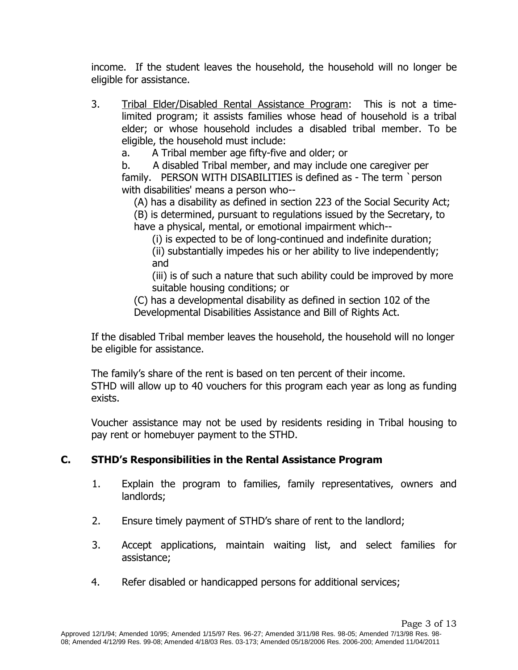income. If the student leaves the household, the household will no longer be eligible for assistance.

3. Tribal Elder/Disabled Rental Assistance Program: This is not a timelimited program; it assists families whose head of household is a tribal elder; or whose household includes a disabled tribal member. To be eligible, the household must include:

a. A Tribal member age fifty-five and older; or

b. A disabled Tribal member, and may include one caregiver per family. PERSON WITH DISABILITIES is defined as - The term `person with disabilities' means a person who--

(A) has a disability as defined in section 223 of the Social Security Act;

- (B) is determined, pursuant to regulations issued by the Secretary, to have a physical, mental, or emotional impairment which--
	- (i) is expected to be of long-continued and indefinite duration;

(ii) substantially impedes his or her ability to live independently; and

(iii) is of such a nature that such ability could be improved by more suitable housing conditions; or

(C) has a developmental disability as defined in section 102 of the Developmental Disabilities Assistance and Bill of Rights Act.

If the disabled Tribal member leaves the household, the household will no longer be eligible for assistance.

The family's share of the rent is based on ten percent of their income. STHD will allow up to 40 vouchers for this program each year as long as funding exists.

Voucher assistance may not be used by residents residing in Tribal housing to pay rent or homebuyer payment to the STHD.

# **C. STHD's Responsibilities in the Rental Assistance Program**

- 1. Explain the program to families, family representatives, owners and landlords;
- 2. Ensure timely payment of STHD's share of rent to the landlord;
- 3. Accept applications, maintain waiting list, and select families for assistance;
- 4. Refer disabled or handicapped persons for additional services;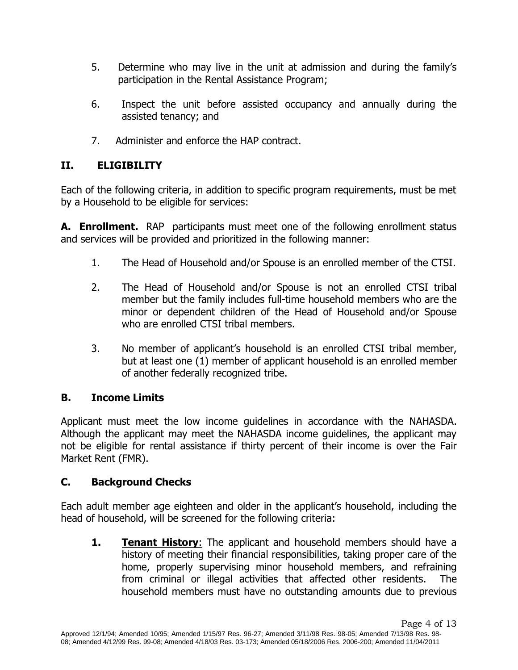- 5. Determine who may live in the unit at admission and during the family's participation in the Rental Assistance Program;
- 6. Inspect the unit before assisted occupancy and annually during the assisted tenancy; and
- 7. Administer and enforce the HAP contract.

### <span id="page-3-0"></span>**II. ELIGIBILITY**

Each of the following criteria, in addition to specific program requirements, must be met by a Household to be eligible for services:

**A. Enrollment.** RAP participants must meet one of the following enrollment status and services will be provided and prioritized in the following manner:

- 1. The Head of Household and/or Spouse is an enrolled member of the CTSI.
- 2. The Head of Household and/or Spouse is not an enrolled CTSI tribal member but the family includes full-time household members who are the minor or dependent children of the Head of Household and/or Spouse who are enrolled CTSI tribal members.
- 3. No member of applicant's household is an enrolled CTSI tribal member, but at least one (1) member of applicant household is an enrolled member of another federally recognized tribe.

# **B. Income Limits**

Applicant must meet the low income guidelines in accordance with the NAHASDA. Although the applicant may meet the NAHASDA income guidelines, the applicant may not be eligible for rental assistance if thirty percent of their income is over the Fair Market Rent (FMR).

#### **C. Background Checks**

Each adult member age eighteen and older in the applicant's household, including the head of household, will be screened for the following criteria:

**1. Tenant History**: The applicant and household members should have a history of meeting their financial responsibilities, taking proper care of the home, properly supervising minor household members, and refraining from criminal or illegal activities that affected other residents. The household members must have no outstanding amounts due to previous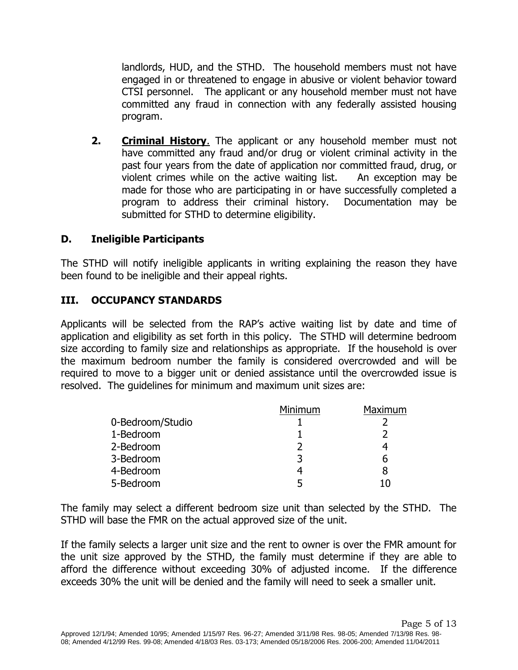landlords, HUD, and the STHD. The household members must not have engaged in or threatened to engage in abusive or violent behavior toward CTSI personnel. The applicant or any household member must not have committed any fraud in connection with any federally assisted housing program.

**2. Criminal History**. The applicant or any household member must not have committed any fraud and/or drug or violent criminal activity in the past four years from the date of application nor committed fraud, drug, or violent crimes while on the active waiting list. An exception may be made for those who are participating in or have successfully completed a program to address their criminal history. Documentation may be submitted for STHD to determine eligibility.

#### **D. Ineligible Participants**

The STHD will notify ineligible applicants in writing explaining the reason they have been found to be ineligible and their appeal rights.

#### **III. OCCUPANCY STANDARDS**

Applicants will be selected from the RAP's active waiting list by date and time of application and eligibility as set forth in this policy. The STHD will determine bedroom size according to family size and relationships as appropriate. If the household is over the maximum bedroom number the family is considered overcrowded and will be required to move to a bigger unit or denied assistance until the overcrowded issue is resolved. The guidelines for minimum and maximum unit sizes are:

|                  | Minimum | Maximum |
|------------------|---------|---------|
| 0-Bedroom/Studio |         |         |
| 1-Bedroom        |         |         |
| 2-Bedroom        |         |         |
| 3-Bedroom        | 3       | b       |
| 4-Bedroom        |         | 8       |
| 5-Bedroom        |         |         |

The family may select a different bedroom size unit than selected by the STHD. The STHD will base the FMR on the actual approved size of the unit.

If the family selects a larger unit size and the rent to owner is over the FMR amount for the unit size approved by the STHD, the family must determine if they are able to afford the difference without exceeding 30% of adjusted income. If the difference exceeds 30% the unit will be denied and the family will need to seek a smaller unit.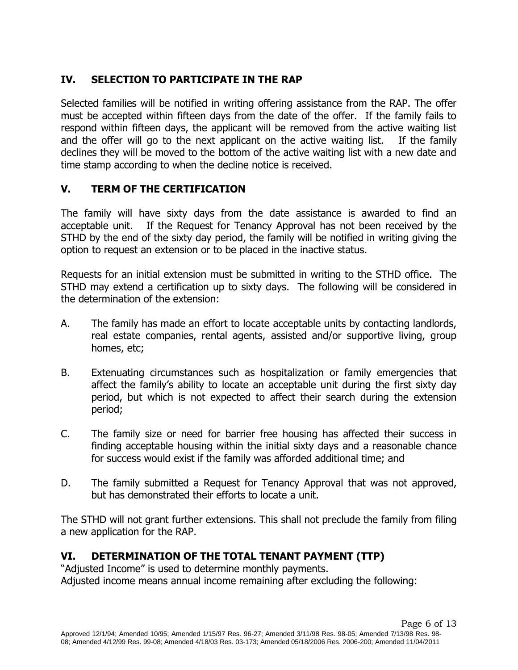# **IV. SELECTION TO PARTICIPATE IN THE RAP**

Selected families will be notified in writing offering assistance from the RAP. The offer must be accepted within fifteen days from the date of the offer. If the family fails to respond within fifteen days, the applicant will be removed from the active waiting list and the offer will go to the next applicant on the active waiting list. If the family declines they will be moved to the bottom of the active waiting list with a new date and time stamp according to when the decline notice is received.

# **V. TERM OF THE CERTIFICATION**

The family will have sixty days from the date assistance is awarded to find an acceptable unit. If the Request for Tenancy Approval has not been received by the STHD by the end of the sixty day period, the family will be notified in writing giving the option to request an extension or to be placed in the inactive status.

Requests for an initial extension must be submitted in writing to the STHD office. The STHD may extend a certification up to sixty days. The following will be considered in the determination of the extension:

- A. The family has made an effort to locate acceptable units by contacting landlords, real estate companies, rental agents, assisted and/or supportive living, group homes, etc;
- B. Extenuating circumstances such as hospitalization or family emergencies that affect the family's ability to locate an acceptable unit during the first sixty day period, but which is not expected to affect their search during the extension period;
- C. The family size or need for barrier free housing has affected their success in finding acceptable housing within the initial sixty days and a reasonable chance for success would exist if the family was afforded additional time; and
- D. The family submitted a Request for Tenancy Approval that was not approved, but has demonstrated their efforts to locate a unit.

The STHD will not grant further extensions. This shall not preclude the family from filing a new application for the RAP.

# **VI. DETERMINATION OF THE TOTAL TENANT PAYMENT (TTP)**

"Adjusted Income" is used to determine monthly payments. Adjusted income means annual income remaining after excluding the following: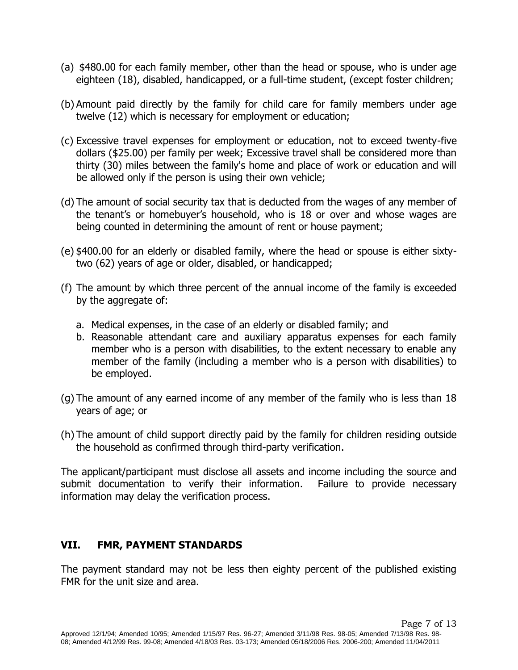- (a) \$480.00 for each family member, other than the head or spouse, who is under age eighteen (18), disabled, handicapped, or a full-time student, (except foster children;
- (b) Amount paid directly by the family for child care for family members under age twelve (12) which is necessary for employment or education;
- (c) Excessive travel expenses for employment or education, not to exceed twenty-five dollars (\$25.00) per family per week; Excessive travel shall be considered more than thirty (30) miles between the family's home and place of work or education and will be allowed only if the person is using their own vehicle;
- (d) The amount of social security tax that is deducted from the wages of any member of the tenant's or homebuyer's household, who is 18 or over and whose wages are being counted in determining the amount of rent or house payment;
- (e) \$400.00 for an elderly or disabled family, where the head or spouse is either sixtytwo (62) years of age or older, disabled, or handicapped;
- (f) The amount by which three percent of the annual income of the family is exceeded by the aggregate of:
	- a. Medical expenses, in the case of an elderly or disabled family; and
	- b. Reasonable attendant care and auxiliary apparatus expenses for each family member who is a person with disabilities, to the extent necessary to enable any member of the family (including a member who is a person with disabilities) to be employed.
- (g) The amount of any earned income of any member of the family who is less than 18 years of age; or
- (h) The amount of child support directly paid by the family for children residing outside the household as confirmed through third-party verification.

The applicant/participant must disclose all assets and income including the source and submit documentation to verify their information. Failure to provide necessary information may delay the verification process.

#### **VII. FMR, PAYMENT STANDARDS**

The payment standard may not be less then eighty percent of the published existing FMR for the unit size and area.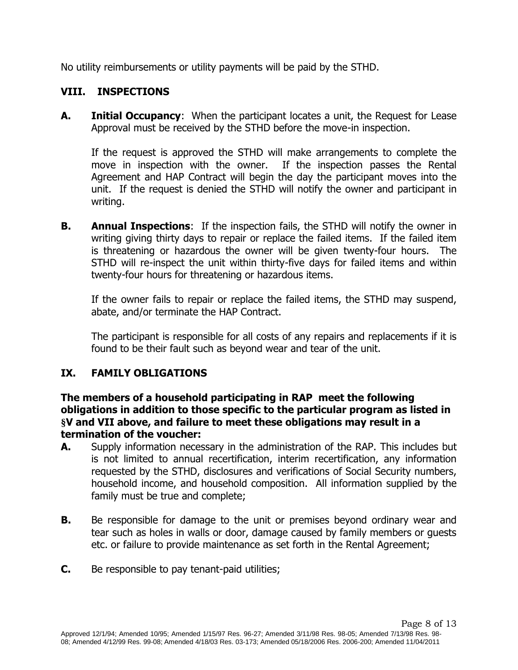No utility reimbursements or utility payments will be paid by the STHD.

### **VIII. INSPECTIONS**

**A. Initial Occupancy**: When the participant locates a unit, the Request for Lease Approval must be received by the STHD before the move-in inspection.

If the request is approved the STHD will make arrangements to complete the move in inspection with the owner. If the inspection passes the Rental Agreement and HAP Contract will begin the day the participant moves into the unit. If the request is denied the STHD will notify the owner and participant in writing.

**B. Annual Inspections**: If the inspection fails, the STHD will notify the owner in writing giving thirty days to repair or replace the failed items. If the failed item is threatening or hazardous the owner will be given twenty-four hours. The STHD will re-inspect the unit within thirty-five days for failed items and within twenty-four hours for threatening or hazardous items.

If the owner fails to repair or replace the failed items, the STHD may suspend, abate, and/or terminate the HAP Contract.

The participant is responsible for all costs of any repairs and replacements if it is found to be their fault such as beyond wear and tear of the unit.

# **IX. FAMILY OBLIGATIONS**

#### **The members of a household participating in RAP meet the following obligations in addition to those specific to the particular program as listed in §V and VII above, and failure to meet these obligations may result in a termination of the voucher:**

- **A.** Supply information necessary in the administration of the RAP. This includes but is not limited to annual recertification, interim recertification, any information requested by the STHD, disclosures and verifications of Social Security numbers, household income, and household composition. All information supplied by the family must be true and complete;
- **B.** Be responsible for damage to the unit or premises beyond ordinary wear and tear such as holes in walls or door, damage caused by family members or guests etc. or failure to provide maintenance as set forth in the Rental Agreement;
- **C.** Be responsible to pay tenant-paid utilities;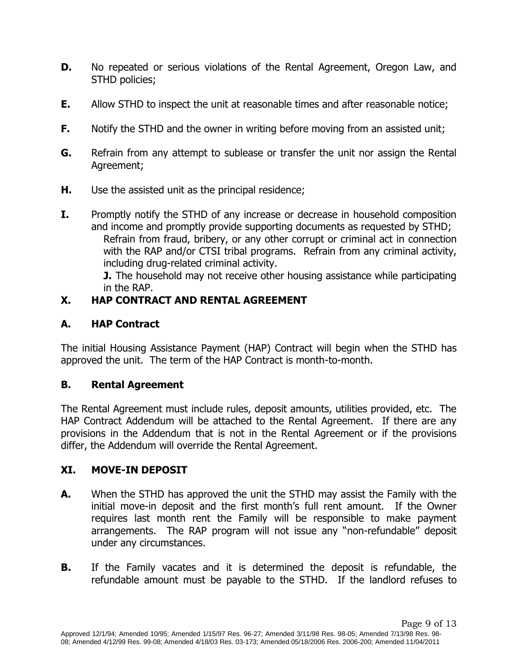- **D.** No repeated or serious violations of the Rental Agreement, Oregon Law, and STHD policies;
- **E.** Allow STHD to inspect the unit at reasonable times and after reasonable notice;
- **F.** Notify the STHD and the owner in writing before moving from an assisted unit;
- **G.** Refrain from any attempt to sublease or transfer the unit nor assign the Rental Agreement;
- **H.** Use the assisted unit as the principal residence;
- **I.** Promptly notify the STHD of any increase or decrease in household composition and income and promptly provide supporting documents as requested by STHD; Refrain from fraud, bribery, or any other corrupt or criminal act in connection with the RAP and/or CTSI tribal programs. Refrain from any criminal activity, including drug-related criminal activity.
	- **J.** The household may not receive other housing assistance while participating in the RAP.

# **X. HAP CONTRACT AND RENTAL AGREEMENT**

# **A. HAP Contract**

The initial Housing Assistance Payment (HAP) Contract will begin when the STHD has approved the unit. The term of the HAP Contract is month-to-month.

# <span id="page-8-0"></span>**B. Rental Agreement**

The Rental Agreement must include rules, deposit amounts, utilities provided, etc. The HAP Contract Addendum will be attached to the Rental Agreement. If there are any provisions in the Addendum that is not in the Rental Agreement or if the provisions differ, the Addendum will override the Rental Agreement.

#### **XI. MOVE-IN DEPOSIT**

- **A.** When the STHD has approved the unit the STHD may assist the Family with the initial move-in deposit and the first month's full rent amount. If the Owner requires last month rent the Family will be responsible to make payment arrangements. The RAP program will not issue any "non-refundable" deposit under any circumstances.
- **B.** If the Family vacates and it is determined the deposit is refundable, the refundable amount must be payable to the STHD. If the landlord refuses to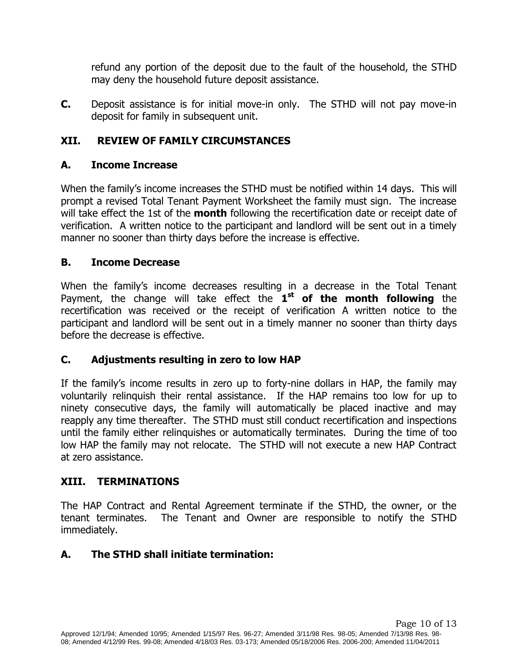refund any portion of the deposit due to the fault of the household, the STHD may deny the household future deposit assistance.

**C.** Deposit assistance is for initial move-in only. The STHD will not pay move-in deposit for family in subsequent unit.

# **XII. REVIEW OF FAMILY CIRCUMSTANCES**

# **A. Income Increase**

When the family's income increases the STHD must be notified within 14 days. This will prompt a revised Total Tenant Payment Worksheet the family must sign. The increase will take effect the 1st of the **month** following the recertification date or receipt date of verification. A written notice to the participant and landlord will be sent out in a timely manner no sooner than thirty days before the increase is effective.

### **B. Income Decrease**

When the family's income decreases resulting in a decrease in the Total Tenant Payment, the change will take effect the **1 st of the month following** the recertification was received or the receipt of verification A written notice to the participant and landlord will be sent out in a timely manner no sooner than thirty days before the decrease is effective.

# **C. Adjustments resulting in zero to low HAP**

If the family's income results in zero up to forty-nine dollars in HAP, the family may voluntarily relinquish their rental assistance. If the HAP remains too low for up to ninety consecutive days, the family will automatically be placed inactive and may reapply any time thereafter. The STHD must still conduct recertification and inspections until the family either relinquishes or automatically terminates. During the time of too low HAP the family may not relocate. The STHD will not execute a new HAP Contract at zero assistance.

# **XIII. TERMINATIONS**

The HAP Contract and Rental Agreement terminate if the STHD, the owner, or the tenant terminates. The Tenant and Owner are responsible to notify the STHD immediately.

# **A. The STHD shall initiate termination:**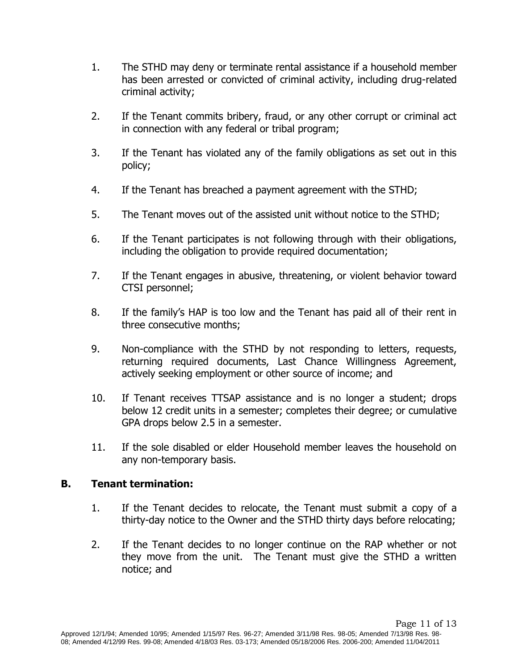- 1. The STHD may deny or terminate rental assistance if a household member has been arrested or convicted of criminal activity, including drug-related criminal activity;
- 2. If the Tenant commits bribery, fraud, or any other corrupt or criminal act in connection with any federal or tribal program;
- 3. If the Tenant has violated any of the family obligations as set out in this policy;
- 4. If the Tenant has breached a payment agreement with the STHD;
- 5. The Tenant moves out of the assisted unit without notice to the STHD;
- 6. If the Tenant participates is not following through with their obligations, including the obligation to provide required documentation;
- 7. If the Tenant engages in abusive, threatening, or violent behavior toward CTSI personnel;
- 8. If the family's HAP is too low and the Tenant has paid all of their rent in three consecutive months;
- 9. Non-compliance with the STHD by not responding to letters, requests, returning required documents, Last Chance Willingness Agreement, actively seeking employment or other source of income; and
- 10. If Tenant receives TTSAP assistance and is no longer a student; drops below 12 credit units in a semester; completes their degree; or cumulative GPA drops below 2.5 in a semester.
- 11. If the sole disabled or elder Household member leaves the household on any non-temporary basis.

#### **B. Tenant termination:**

- 1. If the Tenant decides to relocate, the Tenant must submit a copy of a thirty-day notice to the Owner and the STHD thirty days before relocating;
- 2. If the Tenant decides to no longer continue on the RAP whether or not they move from the unit. The Tenant must give the STHD a written notice; and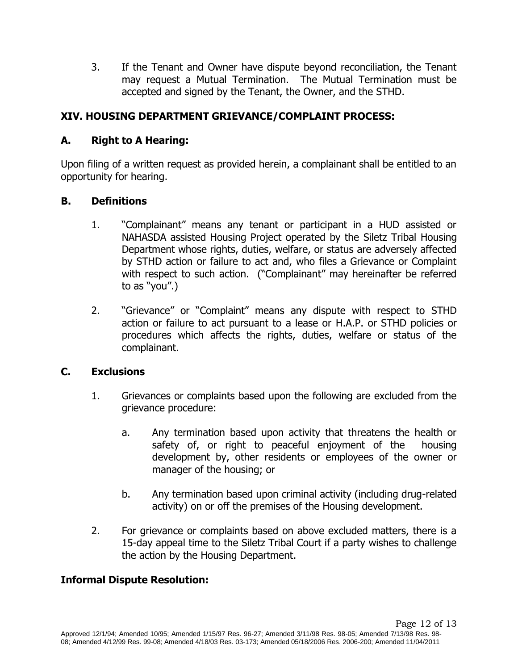3. If the Tenant and Owner have dispute beyond reconciliation, the Tenant may request a Mutual Termination. The Mutual Termination must be accepted and signed by the Tenant, the Owner, and the STHD.

# <span id="page-11-0"></span>**XIV. HOUSING DEPARTMENT GRIEVANCE/COMPLAINT PROCESS:**

### <span id="page-11-1"></span>**A. Right to A Hearing:**

Upon filing of a written request as provided herein, a complainant shall be entitled to an opportunity for hearing.

#### **B. Definitions**

- 1. "Complainant" means any tenant or participant in a HUD assisted or NAHASDA assisted Housing Project operated by the Siletz Tribal Housing Department whose rights, duties, welfare, or status are adversely affected by STHD action or failure to act and, who files a Grievance or Complaint with respect to such action. ("Complainant" may hereinafter be referred to as "you".)
- 2. "Grievance" or "Complaint" means any dispute with respect to STHD action or failure to act pursuant to a lease or H.A.P. or STHD policies or procedures which affects the rights, duties, welfare or status of the complainant.

#### <span id="page-11-2"></span>**C. Exclusions**

- 1. Grievances or complaints based upon the following are excluded from the grievance procedure:
	- a. Any termination based upon activity that threatens the health or safety of, or right to peaceful enjoyment of the housing development by, other residents or employees of the owner or manager of the housing; or
	- b. Any termination based upon criminal activity (including drug-related activity) on or off the premises of the Housing development.
- 2. For grievance or complaints based on above excluded matters, there is a 15-day appeal time to the Siletz Tribal Court if a party wishes to challenge the action by the Housing Department.

#### <span id="page-11-3"></span>**Informal Dispute Resolution:**